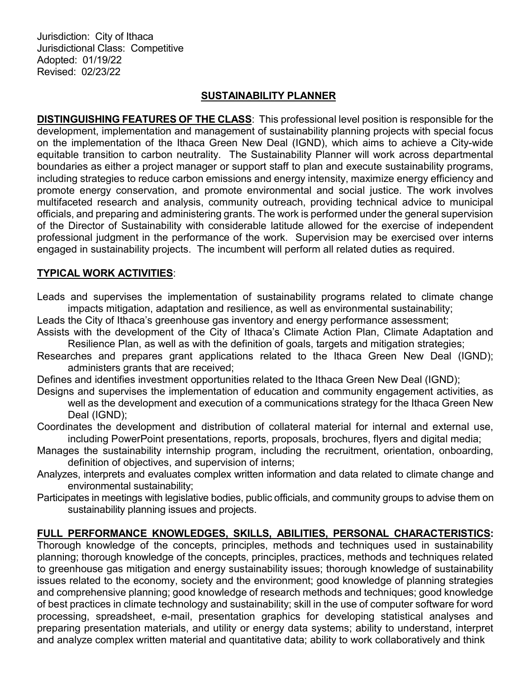Jurisdiction: City of Ithaca Jurisdictional Class: Competitive Adopted: 01/19/22 Revised: 02/23/22

# SUSTAINABILITY PLANNER

DISTINGUISHING FEATURES OF THE CLASS: This professional level position is responsible for the development, implementation and management of sustainability planning projects with special focus on the implementation of the Ithaca Green New Deal (IGND), which aims to achieve a City-wide equitable transition to carbon neutrality. The Sustainability Planner will work across departmental boundaries as either a project manager or support staff to plan and execute sustainability programs, including strategies to reduce carbon emissions and energy intensity, maximize energy efficiency and promote energy conservation, and promote environmental and social justice. The work involves multifaceted research and analysis, community outreach, providing technical advice to municipal officials, and preparing and administering grants. The work is performed under the general supervision of the Director of Sustainability with considerable latitude allowed for the exercise of independent professional judgment in the performance of the work. Supervision may be exercised over interns engaged in sustainability projects. The incumbent will perform all related duties as required.

## TYPICAL WORK ACTIVITIES:

- Leads and supervises the implementation of sustainability programs related to climate change impacts mitigation, adaptation and resilience, as well as environmental sustainability;
- Leads the City of Ithaca's greenhouse gas inventory and energy performance assessment;
- Assists with the development of the City of Ithaca's Climate Action Plan, Climate Adaptation and Resilience Plan, as well as with the definition of goals, targets and mitigation strategies;
- Researches and prepares grant applications related to the Ithaca Green New Deal (IGND); administers grants that are received;
- Defines and identifies investment opportunities related to the Ithaca Green New Deal (IGND);
- Designs and supervises the implementation of education and community engagement activities, as well as the development and execution of a communications strategy for the Ithaca Green New Deal (IGND);
- Coordinates the development and distribution of collateral material for internal and external use, including PowerPoint presentations, reports, proposals, brochures, flyers and digital media;
- Manages the sustainability internship program, including the recruitment, orientation, onboarding, definition of objectives, and supervision of interns;
- Analyzes, interprets and evaluates complex written information and data related to climate change and environmental sustainability;
- Participates in meetings with legislative bodies, public officials, and community groups to advise them on sustainability planning issues and projects.

## FULL PERFORMANCE KNOWLEDGES, SKILLS, ABILITIES, PERSONAL CHARACTERISTICS:

Thorough knowledge of the concepts, principles, methods and techniques used in sustainability planning; thorough knowledge of the concepts, principles, practices, methods and techniques related to greenhouse gas mitigation and energy sustainability issues; thorough knowledge of sustainability issues related to the economy, society and the environment; good knowledge of planning strategies and comprehensive planning; good knowledge of research methods and techniques; good knowledge of best practices in climate technology and sustainability; skill in the use of computer software for word processing, spreadsheet, e-mail, presentation graphics for developing statistical analyses and preparing presentation materials, and utility or energy data systems; ability to understand, interpret and analyze complex written material and quantitative data; ability to work collaboratively and think